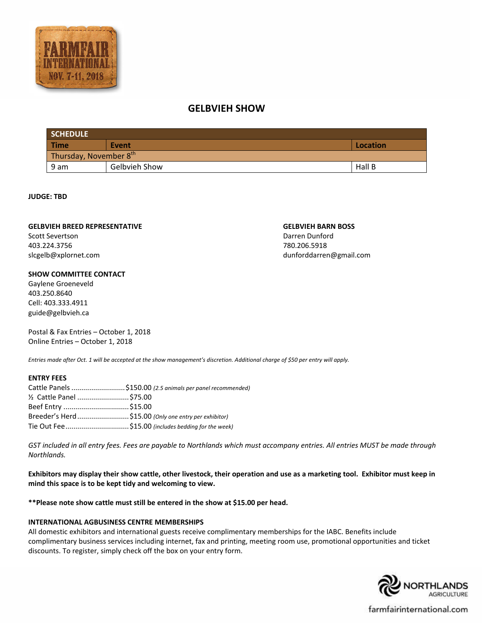

# **GELBVIEH SHOW**

| <b>SCHEDULE</b>        |                      |          |  |  |
|------------------------|----------------------|----------|--|--|
| <b>Time</b>            | Event                | Location |  |  |
| Thursday, November 8th |                      |          |  |  |
| 9 am                   | <b>Gelbvieh Show</b> | Hall B   |  |  |

#### **JUDGE: TBD**

#### **GELBVIEH BREED REPRESENTATIVE**

Scott Severtson 403.224.3756 slcgelb@xplornet.com

#### **SHOW COMMITTEE CONTACT**

Gaylene Groeneveld 403.250.8640 Cell: 403.333.4911 guide@gelbvieh.ca

Postal & Fax Entries – October 1, 2018 Online Entries – October 1, 2018

*Entries made after Oct. 1 will be accepted at the show management's discretion. Additional charge of \$50 per entry will apply.*

# **ENTRY FEES**

|                           | Cattle Panels \$150.00 (2.5 animals per panel recommended) |
|---------------------------|------------------------------------------------------------|
| 1/2 Cattle Panel  \$75.00 |                                                            |
| Beef Entry \$15.00        |                                                            |
|                           | Breeder's Herd\$15.00 (Only one entry per exhibitor)       |
|                           | Tie Out Fee\$15.00 (includes bedding for the week)         |

*GST included in all entry fees. Fees are payable to Northlands which must accompany entries. All entries MUST be made through Northlands.*

**Exhibitors may display their show cattle, other livestock, their operation and use as a marketing tool. Exhibitor must keep in mind this space is to be kept tidy and welcoming to view.** 

**\*\*Please note show cattle must still be entered in the show at \$15.00 per head.**

# **INTERNATIONAL AGBUSINESS CENTRE MEMBERSHIPS**

All domestic exhibitors and international guests receive complimentary memberships for the IABC. Benefits include complimentary business services including internet, fax and printing, meeting room use, promotional opportunities and ticket discounts. To register, simply check off the box on your entry form.



farmfairinternational.com

# **GELBVIEH BARN BOSS** Darren Dunford 780.206.5918

dunforddarren@gmail.com